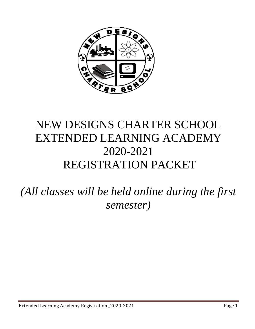

# NEW DESIGNS CHARTER SCHOOL EXTENDED LEARNING ACADEMY 2020-2021 REGISTRATION PACKET

*(All classes will be held online during the first semester)*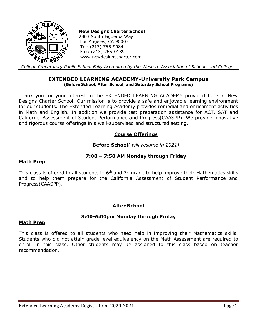

**New Designs Charter School**  2303 South Figueroa Way Los Angeles, CA 90007 Tel: (213) 765-9084 Fax: (213) 765-0139 www.newdesignscharter.com

*College Preparatory Public School Fully Accredited by the Western Association of Schools and Colleges*

#### **EXTENDED LEARNING ACADEMY-University Park Campus (Before School, After School, and Saturday School Programs)**

Thank you for your interest in the EXTENDED LEARNING ACADEMY provided here at New Designs Charter School. Our mission is to provide a safe and enjoyable learning environment for our students. The Extended Learning Academy provides remedial and enrichment activities in Math and English. In addition we provide test preparation assistance for ACT, SAT and California Assessment of Student Performance and Progress(CAASPP). We provide innovative and rigorous course offerings in a well-supervised and structured setting.

## **Course Offerings**

## **Before School***( will resume in 2021)*

## **7:00 – 7:50 AM Monday through Friday**

#### **Math Prep**

This class is offered to all students in  $6<sup>th</sup>$  and  $7<sup>th</sup>$  grade to help improve their Mathematics skills and to help them prepare for the California Assessment of Student Performance and Progress(CAASPP).

## **After School**

#### **3:00-6:00pm Monday through Friday**

#### **Math Prep**

This class is offered to all students who need help in improving their Mathematics skills. Students who did not attain grade level equivalency on the Math Assessment are required to enroll in this class. Other students may be assigned to this class based on teacher recommendation.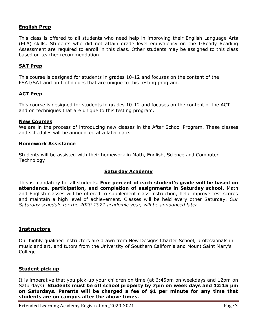#### **English Prep**

This class is offered to all students who need help in improving their English Language Arts (ELA) skills. Students who did not attain grade level equivalency on the I-Ready Reading Assessment are required to enroll in this class. Other students may be assigned to this class based on teacher recommendation.

#### **SAT Prep**

This course is designed for students in grades 10-12 and focuses on the content of the PSAT/SAT and on techniques that are unique to this testing program.

## **ACT Prep**

This course is designed for students in grades 10-12 and focuses on the content of the ACT and on techniques that are unique to this testing program.

#### **New Courses**

We are in the process of introducing new classes in the After School Program. These classes and schedules will be announced at a later date.

#### **Homework Assistance**

Students will be assisted with their homework in Math, English, Science and Computer **Technology** 

#### **Saturday Academy**

This is mandatory for all students. **Five percent of each student's grade will be based on attendance, participation, and completion of assignments in Saturday school**. Math and English classes will be offered to supplement class instruction, help improve test scores and maintain a high level of achievement. Classes will be held every other Saturday. *Our Saturday schedule for the 2020-2021 academic year, will be announced later.* 

#### **Instructors**

Our highly qualified instructors are drawn from New Designs Charter School, professionals in music and art, and tutors from the University of Southern California and Mount Saint Mary's College.

#### **Student pick up**

It is imperative that you pick-up your children on time (at 6:45pm on weekdays and 12pm on Saturdays). **Students must be off school property by 7pm on week days and 12:15 pm on Saturdays. Parents will be charged a fee of \$1 per minute for any time that students are on campus after the above times.**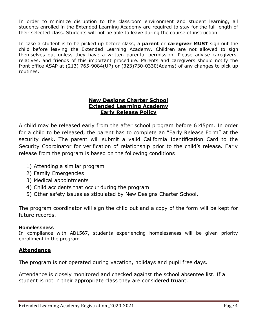In order to minimize disruption to the classroom environment and student learning, all students enrolled in the Extended Learning Academy are required to stay for the full length of their selected class. Students will not be able to leave during the course of instruction.

In case a student is to be picked up before class, a **parent** or **caregiver MUST** sign out the child before leaving the Extended Learning Academy. Children are not allowed to sign themselves out unless they have a written parental permission. Please advise caregivers, relatives, and friends of this important procedure. Parents and caregivers should notify the front office ASAP at (213) 765-9084(UP) or (323)730-0330(Adams) of any changes to pick up routines.

## **New Designs Charter School Extended Learning Academy Early Release Policy**

A child may be released early from the after school program before 6:45pm. In order for a child to be released, the parent has to complete an "Early Release Form" at the security desk. The parent will submit a valid California Identification Card to the Security Coordinator for verification of relationship prior to the child's release. Early release from the program is based on the following conditions:

- 1) Attending a similar program
- 2) Family Emergencies
- 3) Medical appointments
- 4) Child accidents that occur during the program
- 5) Other safety issues as stipulated by New Designs Charter School.

The program coordinator will sign the child out and a copy of the form will be kept for future records.

#### **Homelessness**

In compliance with AB1567, students experiencing homelessness will be given priority enrollment in the program.

## **Attendance**

The program is not operated during vacation, holidays and pupil free days.

Attendance is closely monitored and checked against the school absentee list. If a student is not in their appropriate class they are considered truant.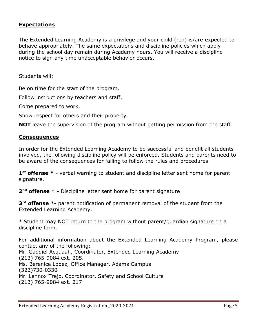## **Expectations**

The Extended Learning Academy is a privilege and your child (ren) is/are expected to behave appropriately. The same expectations and discipline policies which apply during the school day remain during Academy hours. You will receive a discipline notice to sign any time unacceptable behavior occurs.

Students will:

Be on time for the start of the program.

Follow instructions by teachers and staff.

Come prepared to work.

Show respect for others and their property.

**NOT** leave the supervision of the program without getting permission from the staff.

## **Consequences**

In order for the Extended Learning Academy to be successful and benefit all students involved, the following discipline policy will be enforced. Students and parents need to be aware of the consequences for failing to follow the rules and procedures.

**1st offense \* -** verbal warning to student and discipline letter sent home for parent signature.

**2nd offense \* -** Discipline letter sent home for parent signature

**3rd offense \*-** parent notification of permanent removal of the student from the Extended Learning Academy.

\* Student may NOT return to the program without parent/guardian signature on a discipline form.

For additional information about the Extended Learning Academy Program, please contact any of the following: Mr. Gaddiel Acquaah, Coordinator, Extended Learning Academy (213) 765-9084 ext. 205. Ms. Berenice Lopez, Office Manager, Adams Campus (323)730-0330 Mr. Lennox Trejo, Coordinator, Safety and School Culture (213) 765-9084 ext. 217